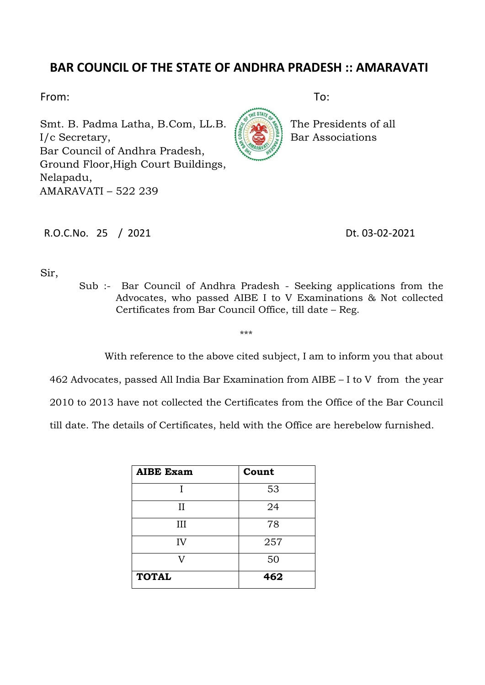## **BAR COUNCIL OF THE STATE OF ANDHRA PRADESH :: AMARAVATI**

From: To:

Smt. B. Padma Latha, B.Com, LL.B. 1. The Presidents of all I/c Secretary, **Bar Associations** Bar Council of Andhra Pradesh, Ground Floor,High Court Buildings, Nelapadu, AMARAVATI – 522 239



R.O.C.No. 25 / 2021 Dt. 03-02-2021

Sir,

Sub :- Bar Council of Andhra Pradesh - Seeking applications from the Advocates, who passed AIBE I to V Examinations & Not collected Certificates from Bar Council Office, till date – Reg.

\*\*\*

With reference to the above cited subject, I am to inform you that about

462 Advocates, passed All India Bar Examination from AIBE – I to V from the year

2010 to 2013 have not collected the Certificates from the Office of the Bar Council

till date. The details of Certificates, held with the Office are herebelow furnished.

| <b>AIBE Exam</b> | Count |
|------------------|-------|
|                  | 53    |
| II               | 24    |
| Ш                | 78    |
| IV               | 257   |
|                  | 50    |
| <b>TOTAL</b>     | 462   |